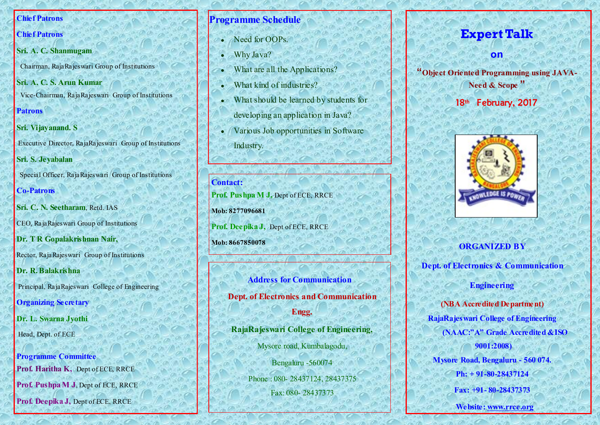#### **Chief Patrons**

### **Chief Patrons**

**Sri. A. C. Shanmugam**

Chairman, RajaRajeswari Group of Institutions

**Sri. A. C. S. Arun Kumar**  Vice-Chairman, RajaRajeswari Group of Institutions

**Patrons**

### **Sri. Vijayanand. S**

Executive Director, RajaRajeswari Group of Institutions

**Sri. S. Jeyabalan**

Special Officer, RajaRajeswari Group of Institutions

## **Co-Patrons**

**Sri. C. N. Seetharam**, Retd. IAS

CEO, RajaRajeswari Group of Institutions

**Dr. T R Gopalakrishnan Nair,** 

Rector, RajaRajeswari Group of Institutions

**Dr. R. Balakrishna**

Principal, RajaRajeswari College of Engineering

**Organizing Secretary**

**Dr. L. Swarna Jyothi**

Head, Dept. of ECE

**Programme Committee Prof. Haritha K,** Dept of ECE, RRCE

**Prof. Pushpa M J**, Dept of ECE, RRCE

**Prof. Deepika J,** Dept of ECE, RRCE

## **Programme Schedule**

- Need for OOPs.
- Why Java?
- What are all the Applications?
- What kind of industries?
- What should be learned by students for developing an application in Java?
- Various Job opportunities in Software Industry.

**Contact: Prof. Pushpa M J,** Dept of ECE, RRCE **Mob: 8277096681 Prof. Deepika J,** Dept of ECE, RRCE **Mob: 8667850078**

> **Address for Communication Dept. of Electronics and Communication Engg. RajaRajeswari College of Engineering,** Mysore road, Kumbalagodu,

> > Bengaluru -560074 Phone : 080- 28437124, 28437375 Fax: 080- 28437373

# **Expert Talk**

**on** 

**"Object Oriented Programming using JAVA-Need & Scope "**

18<sup>th</sup> February, 2017



## **ORGANIZED BY**

**Dept. of Electronics & Communication** 

### **Engineering**

**(NBA Accredited Department) RajaRajeswari College of Engineering (NAAC:"A" Grade Accredited &ISO 9001:2008) Mysore Road, Bengaluru - 560 074. Ph: + 91-80-28437124 Fax: +91- 80-28437373 Website: [www.rrce.org](http://www.rrce.org)**